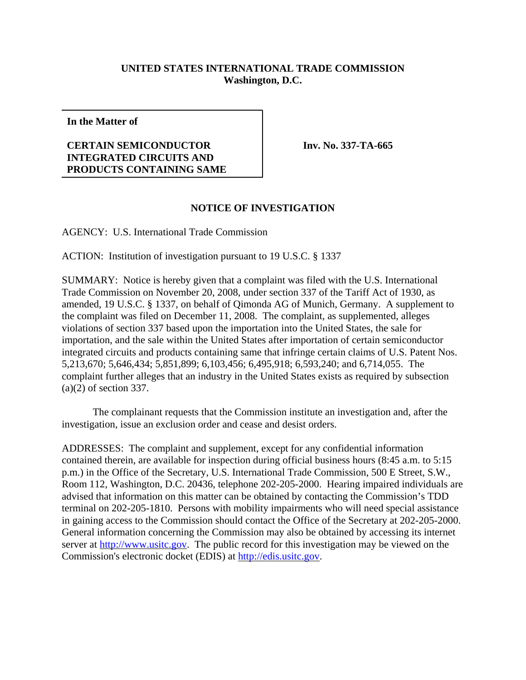## **UNITED STATES INTERNATIONAL TRADE COMMISSION Washington, D.C.**

**In the Matter of**

## **CERTAIN SEMICONDUCTOR INTEGRATED CIRCUITS AND PRODUCTS CONTAINING SAME**

**Inv. No. 337-TA-665**

## **NOTICE OF INVESTIGATION**

AGENCY: U.S. International Trade Commission

ACTION: Institution of investigation pursuant to 19 U.S.C. § 1337

SUMMARY: Notice is hereby given that a complaint was filed with the U.S. International Trade Commission on November 20, 2008, under section 337 of the Tariff Act of 1930, as amended, 19 U.S.C. § 1337, on behalf of Qimonda AG of Munich, Germany. A supplement to the complaint was filed on December 11, 2008. The complaint, as supplemented, alleges violations of section 337 based upon the importation into the United States, the sale for importation, and the sale within the United States after importation of certain semiconductor integrated circuits and products containing same that infringe certain claims of U.S. Patent Nos. 5,213,670; 5,646,434; 5,851,899; 6,103,456; 6,495,918; 6,593,240; and 6,714,055. The complaint further alleges that an industry in the United States exists as required by subsection (a)(2) of section 337.

The complainant requests that the Commission institute an investigation and, after the investigation, issue an exclusion order and cease and desist orders.

ADDRESSES: The complaint and supplement, except for any confidential information contained therein, are available for inspection during official business hours (8:45 a.m. to 5:15 p.m.) in the Office of the Secretary, U.S. International Trade Commission, 500 E Street, S.W., Room 112, Washington, D.C. 20436, telephone 202-205-2000. Hearing impaired individuals are advised that information on this matter can be obtained by contacting the Commission's TDD terminal on 202-205-1810. Persons with mobility impairments who will need special assistance in gaining access to the Commission should contact the Office of the Secretary at 202-205-2000. General information concerning the Commission may also be obtained by accessing its internet server at http://www.usitc.gov. The public record for this investigation may be viewed on the Commission's electronic docket (EDIS) at http://edis.usitc.gov.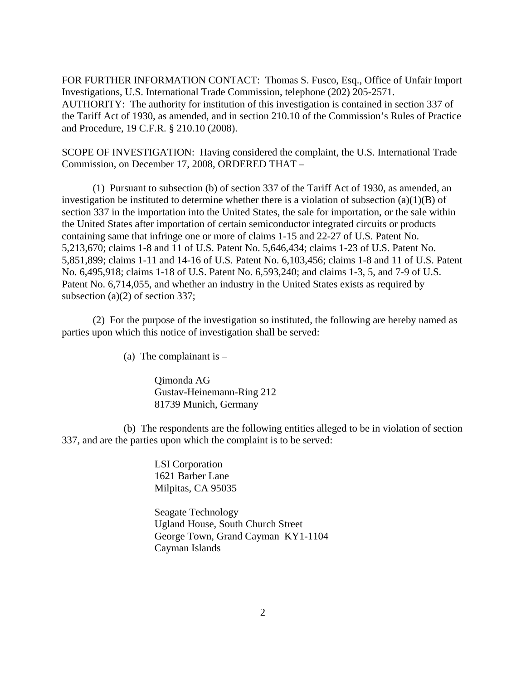FOR FURTHER INFORMATION CONTACT: Thomas S. Fusco, Esq., Office of Unfair Import Investigations, U.S. International Trade Commission, telephone (202) 205-2571. AUTHORITY: The authority for institution of this investigation is contained in section 337 of the Tariff Act of 1930, as amended, and in section 210.10 of the Commission's Rules of Practice and Procedure, 19 C.F.R. § 210.10 (2008).

SCOPE OF INVESTIGATION: Having considered the complaint, the U.S. International Trade Commission, on December 17, 2008, ORDERED THAT –

(1) Pursuant to subsection (b) of section 337 of the Tariff Act of 1930, as amended, an investigation be instituted to determine whether there is a violation of subsection (a)(1)(B) of section 337 in the importation into the United States, the sale for importation, or the sale within the United States after importation of certain semiconductor integrated circuits or products containing same that infringe one or more of claims 1-15 and 22-27 of U.S. Patent No. 5,213,670; claims 1-8 and 11 of U.S. Patent No. 5,646,434; claims 1-23 of U.S. Patent No. 5,851,899; claims 1-11 and 14-16 of U.S. Patent No. 6,103,456; claims 1-8 and 11 of U.S. Patent No. 6,495,918; claims 1-18 of U.S. Patent No. 6,593,240; and claims 1-3, 5, and 7-9 of U.S. Patent No. 6,714,055, and whether an industry in the United States exists as required by subsection (a)(2) of section 337;

(2) For the purpose of the investigation so instituted, the following are hereby named as parties upon which this notice of investigation shall be served:

(a) The complainant is  $-$ 

Qimonda AG Gustav-Heinemann-Ring 212 81739 Munich, Germany

(b) The respondents are the following entities alleged to be in violation of section 337, and are the parties upon which the complaint is to be served:

> LSI Corporation 1621 Barber Lane Milpitas, CA 95035

Seagate Technology Ugland House, South Church Street George Town, Grand Cayman KY1-1104 Cayman Islands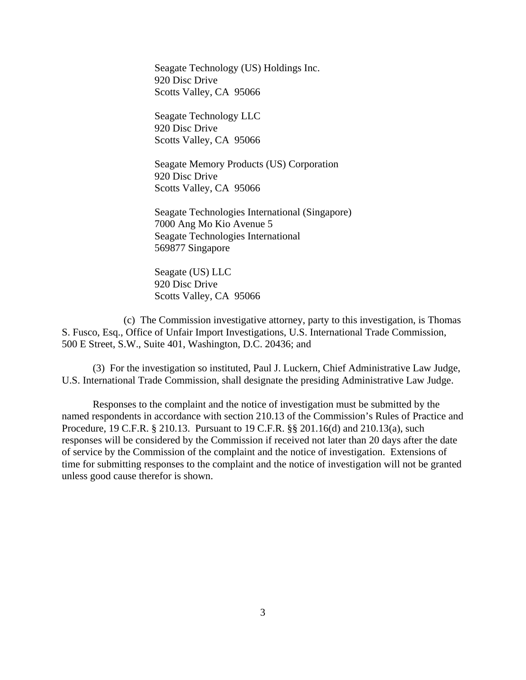Seagate Technology (US) Holdings Inc. 920 Disc Drive Scotts Valley, CA 95066

Seagate Technology LLC 920 Disc Drive Scotts Valley, CA 95066

Seagate Memory Products (US) Corporation 920 Disc Drive Scotts Valley, CA 95066

Seagate Technologies International (Singapore) 7000 Ang Mo Kio Avenue 5 Seagate Technologies International 569877 Singapore

Seagate (US) LLC 920 Disc Drive Scotts Valley, CA 95066

(c) The Commission investigative attorney, party to this investigation, is Thomas S. Fusco, Esq., Office of Unfair Import Investigations, U.S. International Trade Commission, 500 E Street, S.W., Suite 401, Washington, D.C. 20436; and

(3) For the investigation so instituted, Paul J. Luckern, Chief Administrative Law Judge, U.S. International Trade Commission, shall designate the presiding Administrative Law Judge.

Responses to the complaint and the notice of investigation must be submitted by the named respondents in accordance with section 210.13 of the Commission's Rules of Practice and Procedure, 19 C.F.R. § 210.13. Pursuant to 19 C.F.R. §§ 201.16(d) and 210.13(a), such responses will be considered by the Commission if received not later than 20 days after the date of service by the Commission of the complaint and the notice of investigation. Extensions of time for submitting responses to the complaint and the notice of investigation will not be granted unless good cause therefor is shown.